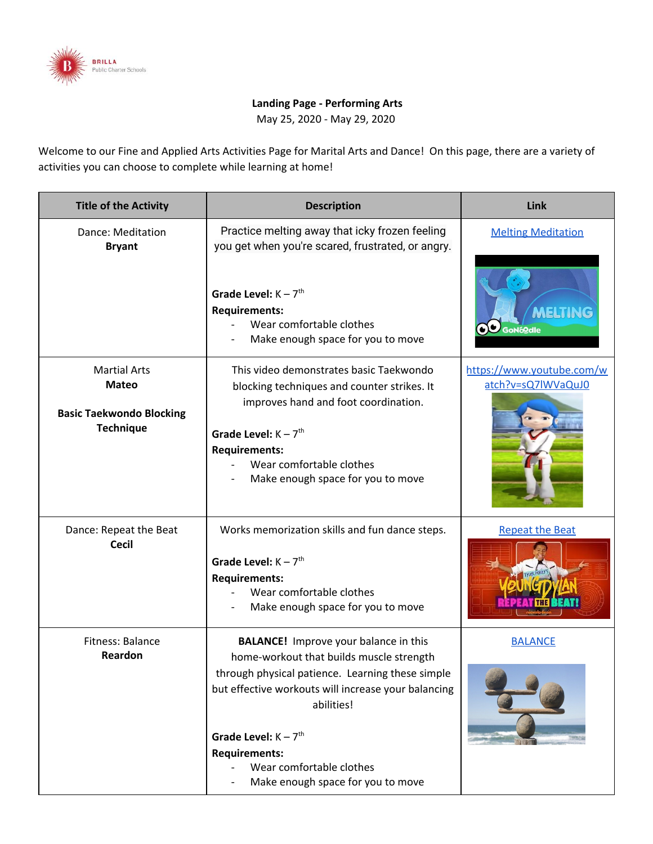

## **Landing Page - Performing Arts**

May 25, 2020 - May 29, 2020

Welcome to our Fine and Applied Arts Activities Page for Marital Arts and Dance! On this page, there are a variety of activities you can choose to complete while learning at home!

| <b>Title of the Activity</b>                                                               | <b>Description</b>                                                                                                                                                                                                                                                                                                                               | Link                                                       |
|--------------------------------------------------------------------------------------------|--------------------------------------------------------------------------------------------------------------------------------------------------------------------------------------------------------------------------------------------------------------------------------------------------------------------------------------------------|------------------------------------------------------------|
| Dance: Meditation<br><b>Bryant</b>                                                         | Practice melting away that icky frozen feeling<br>you get when you're scared, frustrated, or angry.<br>Grade Level: $K - 7$ <sup>th</sup><br><b>Requirements:</b><br>Wear comfortable clothes<br>Make enough space for you to move                                                                                                               | <b>Melting Meditation</b><br><b>MELTING</b><br>OU GoNógale |
| <b>Martial Arts</b><br><b>Mateo</b><br><b>Basic Taekwondo Blocking</b><br><b>Technique</b> | This video demonstrates basic Taekwondo<br>blocking techniques and counter strikes. It<br>improves hand and foot coordination.<br>Grade Level: $K - 7$ <sup>th</sup><br><b>Requirements:</b><br>Wear comfortable clothes<br>Make enough space for you to move                                                                                    | https://www.youtube.com/w<br>atch?v=sQ7lWVaQuJ0            |
| Dance: Repeat the Beat<br><b>Cecil</b>                                                     | Works memorization skills and fun dance steps.<br>Grade Level: $K - 7$ <sup>th</sup><br><b>Requirements:</b><br>Wear comfortable clothes<br>Make enough space for you to move                                                                                                                                                                    | <b>Repeat the Beat</b>                                     |
| Fitness: Balance<br>Reardon                                                                | <b>BALANCE!</b> Improve your balance in this<br>home-workout that builds muscle strength<br>through physical patience. Learning these simple<br>but effective workouts will increase your balancing<br>abilities!<br>Grade Level: $K - 7$ <sup>th</sup><br><b>Requirements:</b><br>Wear comfortable clothes<br>Make enough space for you to move | <b>BALANCE</b>                                             |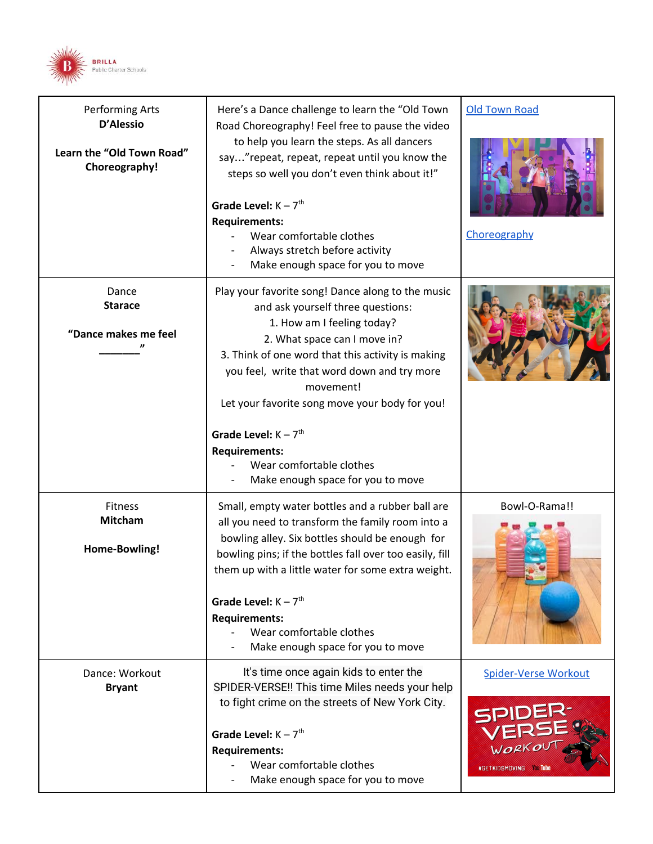

| Performing Arts<br>D'Alessio<br>Learn the "Old Town Road"<br>Choreography! | Here's a Dance challenge to learn the "Old Town<br>Road Choreography! Feel free to pause the video<br>to help you learn the steps. As all dancers<br>say" repeat, repeat, repeat until you know the<br>steps so well you don't even think about it!"<br>Grade Level: $K - 7th$<br><b>Requirements:</b><br>Wear comfortable clothes<br>Always stretch before activity<br>Make enough space for you to move                                              | <b>Old Town Road</b><br>Choreography                   |
|----------------------------------------------------------------------------|--------------------------------------------------------------------------------------------------------------------------------------------------------------------------------------------------------------------------------------------------------------------------------------------------------------------------------------------------------------------------------------------------------------------------------------------------------|--------------------------------------------------------|
| Dance<br><b>Starace</b><br>"Dance makes me feel                            | Play your favorite song! Dance along to the music<br>and ask yourself three questions:<br>1. How am I feeling today?<br>2. What space can I move in?<br>3. Think of one word that this activity is making<br>you feel, write that word down and try more<br>movement!<br>Let your favorite song move your body for you!<br>Grade Level: $K - 7$ <sup>th</sup><br><b>Requirements:</b><br>Wear comfortable clothes<br>Make enough space for you to move |                                                        |
| Fitness<br><b>Mitcham</b><br>Home-Bowling!                                 | Small, empty water bottles and a rubber ball are<br>all you need to transform the family room into a<br>bowling alley. Six bottles should be enough for<br>bowling pins; if the bottles fall over too easily, fill<br>them up with a little water for some extra weight.<br>Grade Level: $K - 7th$<br><b>Requirements:</b><br>Wear comfortable clothes<br>Make enough space for you to move                                                            | Bowl-O-Rama!!                                          |
| Dance: Workout<br><b>Bryant</b>                                            | It's time once again kids to enter the<br>SPIDER-VERSE!! This time Miles needs your help<br>to fight crime on the streets of New York City.<br>Grade Level: $K - 7th$<br><b>Requirements:</b><br>Wear comfortable clothes<br>Make enough space for you to move                                                                                                                                                                                         | <b>Spider-Verse Workout</b><br>#GETKIDSMOVING You Tube |